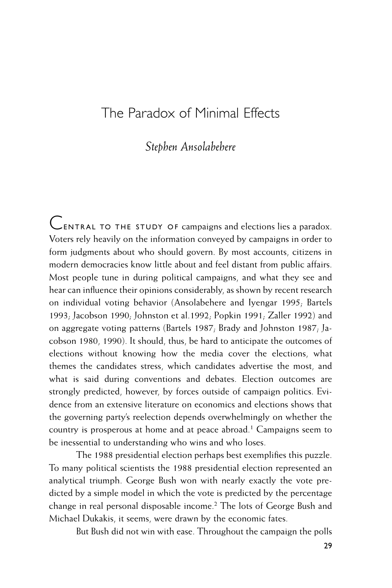# The Paradox of Minimal Effects

# *Stephen Ansolabehere*

CENTRAL TO THE STUDY OF campaigns and elections lies a paradox. Voters rely heavily on the information conveyed by campaigns in order to form judgments about who should govern. By most accounts, citizens in modern democracies know little about and feel distant from public affairs. Most people tune in during political campaigns, and what they see and hear can influence their opinions considerably, as shown by recent research on individual voting behavior (Ansolabehere and Iyengar 1995; Bartels 1993; Jacobson 1990; Johnston et al.1992; Popkin 1991; Zaller 1992) and on aggregate voting patterns (Bartels 1987; Brady and Johnston 1987; Jacobson 1980, 1990). It should, thus, be hard to anticipate the outcomes of elections without knowing how the media cover the elections, what themes the candidates stress, which candidates advertise the most, and what is said during conventions and debates. Election outcomes are strongly predicted, however, by forces outside of campaign politics. Evidence from an extensive literature on economics and elections shows that the governing party's reelection depends overwhelmingly on whether the country is prosperous at home and at peace abroad.<sup>1</sup> Campaigns seem to be inessential to understanding who wins and who loses.

The 1988 presidential election perhaps best exemplifies this puzzle. To many political scientists the 1988 presidential election represented an analytical triumph. George Bush won with nearly exactly the vote predicted by a simple model in which the vote is predicted by the percentage change in real personal disposable income.2 The lots of George Bush and Michael Dukakis, it seems, were drawn by the economic fates.

But Bush did not win with ease. Throughout the campaign the polls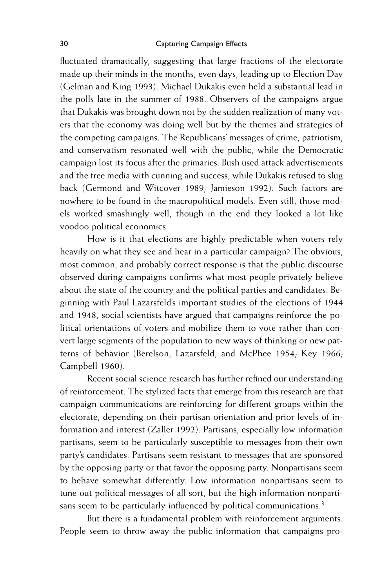#### 30 Capturing Campaign Effects

fluctuated dramatically, suggesting that large fractions of the electorate made up their minds in the months, even days, leading up to Election Day (Gelman and King 1993). Michael Dukakis even held a substantial lead in the polls late in the summer of 1988. Observers of the campaigns argue that Dukakis was brought down not by the sudden realization of many voters that the economy was doing well but by the themes and strategies of the competing campaigns. The Republicans' messages of crime, patriotism, and conservatism resonated well with the public, while the Democratic campaign lost its focus after the primaries. Bush used attack advertisements and the free media with cunning and success, while Dukakis refused to slug back (Germond and Witcover 1989; Jamieson 1992). Such factors are nowhere to be found in the macropolitical models. Even still, those models worked smashingly well, though in the end they looked a lot like voodoo political economics.

How is it that elections are highly predictable when voters rely heavily on what they see and hear in a particular campaign? The obvious, most common, and probably correct response is that the public discourse observed during campaigns confirms what most people privately believe about the state of the country and the political parties and candidates. Beginning with Paul Lazarsfeld's important studies of the elections of 1944 and 1948, social scientists have argued that campaigns reinforce the political orientations of voters and mobilize them to vote rather than convert large segments of the population to new ways of thinking or new patterns of behavior (Berelson, Lazarsfeld, and McPhee 1954; Key 1966; Campbell 1960).

Recent social science research has further refined our understanding of reinforcement. The stylized facts that emerge from this research are that campaign communications are reinforcing for different groups within the electorate, depending on their partisan orientation and prior levels of information and interest (Zaller 1992). Partisans, especially low information partisans, seem to be particularly susceptible to messages from their own party's candidates. Partisans seem resistant to messages that are sponsored by the opposing party or that favor the opposing party. Nonpartisans seem to behave somewhat differently. Low information nonpartisans seem to tune out political messages of all sort, but the high information nonpartisans seem to be particularly influenced by political communications.<sup>3</sup>

But there is a fundamental problem with reinforcement arguments. People seem to throw away the public information that campaigns pro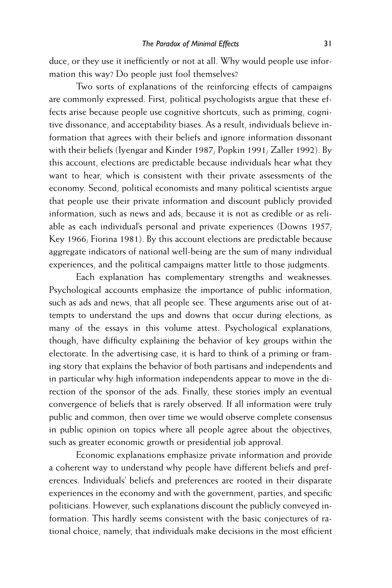duce, or they use it inefficiently or not at all. Why would people use information this way? Do people just fool themselves?

Two sorts of explanations of the reinforcing effects of campaigns are commonly expressed. First, political psychologists argue that these effects arise because people use cognitive shortcuts, such as priming, cognitive dissonance, and acceptability biases. As a result, individuals believe information that agrees with their beliefs and ignore information dissonant with their beliefs (Iyengar and Kinder 1987; Popkin 1991; Zaller 1992). By this account, elections are predictable because individuals hear what they want to hear, which is consistent with their private assessments of the economy. Second, political economists and many political scientists argue that people use their private information and discount publicly provided information, such as news and ads, because it is not as credible or as reliable as each individual's personal and private experiences (Downs 1957; Key 1966; Fiorina 1981). By this account elections are predictable because aggregate indicators of national well-being are the sum of many individual experiences, and the political campaigns matter little to those judgments.

Each explanation has complementary strengths and weaknesses. Psychological accounts emphasize the importance of public information, such as ads and news, that all people see. These arguments arise out of attempts to understand the ups and downs that occur during elections, as many of the essays in this volume attest. Psychological explanations, though, have difficulty explaining the behavior of key groups within the electorate. In the advertising case, it is hard to think of a priming or framing story that explains the behavior of both partisans and independents and in particular why high information independents appear to move in the direction of the sponsor of the ads. Finally, these stories imply an eventual convergence of beliefs that is rarely observed. If all information were truly public and common, then over time we would observe complete consensus in public opinion on topics where all people agree about the objectives, such as greater economic growth or presidential job approval.

Economic explanations emphasize private information and provide a coherent way to understand why people have different beliefs and preferences. Individuals' beliefs and preferences are rooted in their disparate experiences in the economy and with the government, parties, and specific politicians. However, such explanations discount the publicly conveyed information. This hardly seems consistent with the basic conjectures of rational choice, namely, that individuals make decisions in the most efficient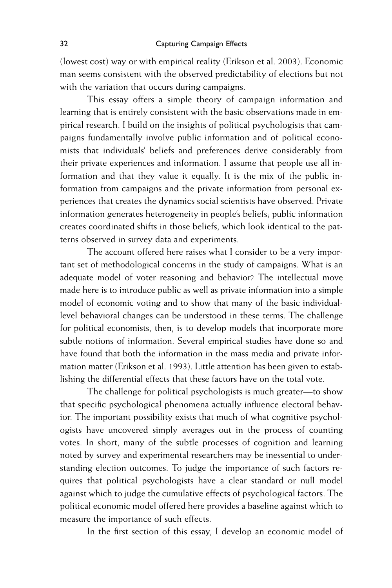(lowest cost) way or with empirical reality (Erikson et al. 2003). Economic man seems consistent with the observed predictability of elections but not with the variation that occurs during campaigns.

This essay offers a simple theory of campaign information and learning that is entirely consistent with the basic observations made in empirical research. I build on the insights of political psychologists that campaigns fundamentally involve public information and of political economists that individuals' beliefs and preferences derive considerably from their private experiences and information. I assume that people use all information and that they value it equally. It is the mix of the public information from campaigns and the private information from personal experiences that creates the dynamics social scientists have observed. Private information generates heterogeneity in people's beliefs; public information creates coordinated shifts in those beliefs, which look identical to the patterns observed in survey data and experiments.

The account offered here raises what I consider to be a very important set of methodological concerns in the study of campaigns. What is an adequate model of voter reasoning and behavior? The intellectual move made here is to introduce public as well as private information into a simple model of economic voting and to show that many of the basic individuallevel behavioral changes can be understood in these terms. The challenge for political economists, then, is to develop models that incorporate more subtle notions of information. Several empirical studies have done so and have found that both the information in the mass media and private information matter (Erikson et al. 1993). Little attention has been given to establishing the differential effects that these factors have on the total vote.

The challenge for political psychologists is much greater—to show that specific psychological phenomena actually influence electoral behavior. The important possibility exists that much of what cognitive psychologists have uncovered simply averages out in the process of counting votes. In short, many of the subtle processes of cognition and learning noted by survey and experimental researchers may be inessential to understanding election outcomes. To judge the importance of such factors requires that political psychologists have a clear standard or null model against which to judge the cumulative effects of psychological factors. The political economic model offered here provides a baseline against which to measure the importance of such effects.

In the first section of this essay, I develop an economic model of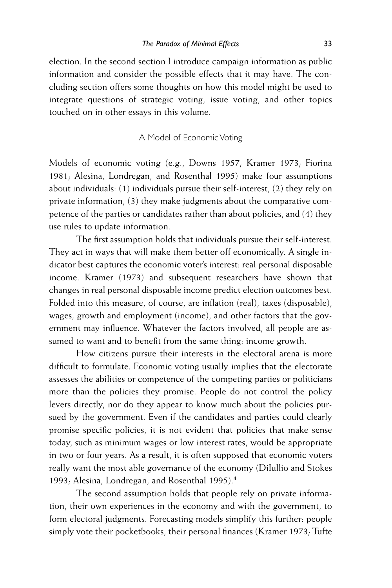election. In the second section I introduce campaign information as public information and consider the possible effects that it may have. The concluding section offers some thoughts on how this model might be used to integrate questions of strategic voting, issue voting, and other topics touched on in other essays in this volume.

## A Model of Economic Voting

Models of economic voting (e.g., Downs 1957; Kramer 1973; Fiorina 1981; Alesina, Londregan, and Rosenthal 1995) make four assumptions about individuals: (1) individuals pursue their self-interest, (2) they rely on private information, (3) they make judgments about the comparative competence of the parties or candidates rather than about policies, and (4) they use rules to update information.

The first assumption holds that individuals pursue their self-interest. They act in ways that will make them better off economically. A single indicator best captures the economic voter's interest: real personal disposable income. Kramer (1973) and subsequent researchers have shown that changes in real personal disposable income predict election outcomes best. Folded into this measure, of course, are inflation (real), taxes (disposable), wages, growth and employment (income), and other factors that the government may influence. Whatever the factors involved, all people are assumed to want and to benefit from the same thing: income growth.

How citizens pursue their interests in the electoral arena is more difficult to formulate. Economic voting usually implies that the electorate assesses the abilities or competence of the competing parties or politicians more than the policies they promise. People do not control the policy levers directly, nor do they appear to know much about the policies pursued by the government. Even if the candidates and parties could clearly promise specific policies, it is not evident that policies that make sense today, such as minimum wages or low interest rates, would be appropriate in two or four years. As a result, it is often supposed that economic voters really want the most able governance of the economy (DiIullio and Stokes 1993; Alesina, Londregan, and Rosenthal 1995).4

The second assumption holds that people rely on private information, their own experiences in the economy and with the government, to form electoral judgments. Forecasting models simplify this further: people simply vote their pocketbooks, their personal finances (Kramer 1973; Tufte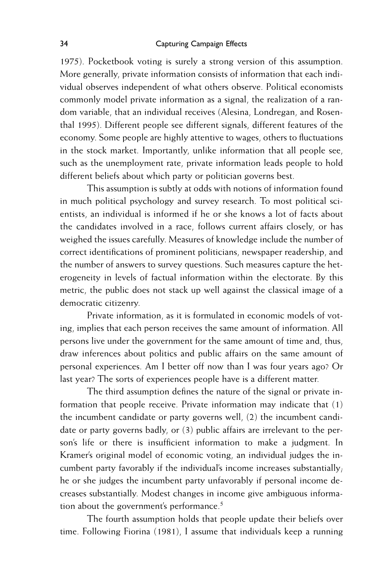1975). Pocketbook voting is surely a strong version of this assumption. More generally, private information consists of information that each individual observes independent of what others observe. Political economists commonly model private information as a signal, the realization of a random variable, that an individual receives (Alesina, Londregan, and Rosenthal 1995). Different people see different signals, different features of the economy. Some people are highly attentive to wages, others to fluctuations in the stock market. Importantly, unlike information that all people see, such as the unemployment rate, private information leads people to hold different beliefs about which party or politician governs best.

This assumption is subtly at odds with notions of information found in much political psychology and survey research. To most political scientists, an individual is informed if he or she knows a lot of facts about the candidates involved in a race, follows current affairs closely, or has weighed the issues carefully. Measures of knowledge include the number of correct identifications of prominent politicians, newspaper readership, and the number of answers to survey questions. Such measures capture the heterogeneity in levels of factual information within the electorate. By this metric, the public does not stack up well against the classical image of a democratic citizenry.

Private information, as it is formulated in economic models of voting, implies that each person receives the same amount of information. All persons live under the government for the same amount of time and, thus, draw inferences about politics and public affairs on the same amount of personal experiences. Am I better off now than I was four years ago? Or last year? The sorts of experiences people have is a different matter.

The third assumption defines the nature of the signal or private information that people receive. Private information may indicate that (1) the incumbent candidate or party governs well, (2) the incumbent candidate or party governs badly, or (3) public affairs are irrelevant to the person's life or there is insufficient information to make a judgment. In Kramer's original model of economic voting, an individual judges the incumbent party favorably if the individual's income increases substantially; he or she judges the incumbent party unfavorably if personal income decreases substantially. Modest changes in income give ambiguous information about the government's performance.<sup>5</sup>

The fourth assumption holds that people update their beliefs over time. Following Fiorina (1981), I assume that individuals keep a running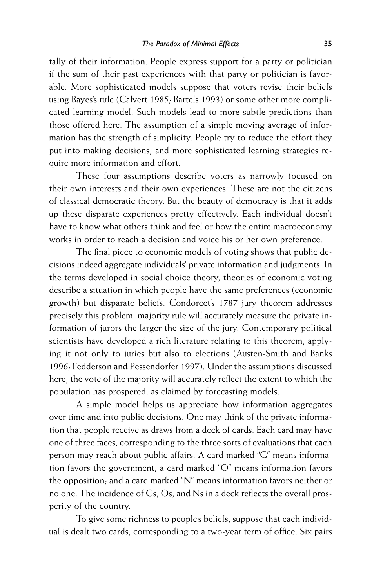tally of their information. People express support for a party or politician if the sum of their past experiences with that party or politician is favorable. More sophisticated models suppose that voters revise their beliefs using Bayes's rule (Calvert 1985; Bartels 1993) or some other more complicated learning model. Such models lead to more subtle predictions than those offered here. The assumption of a simple moving average of information has the strength of simplicity. People try to reduce the effort they put into making decisions, and more sophisticated learning strategies require more information and effort.

These four assumptions describe voters as narrowly focused on their own interests and their own experiences. These are not the citizens of classical democratic theory. But the beauty of democracy is that it adds up these disparate experiences pretty effectively. Each individual doesn't have to know what others think and feel or how the entire macroeconomy works in order to reach a decision and voice his or her own preference.

The final piece to economic models of voting shows that public decisions indeed aggregate individuals' private information and judgments. In the terms developed in social choice theory, theories of economic voting describe a situation in which people have the same preferences (economic growth) but disparate beliefs. Condorcet's 1787 jury theorem addresses precisely this problem: majority rule will accurately measure the private information of jurors the larger the size of the jury. Contemporary political scientists have developed a rich literature relating to this theorem, applying it not only to juries but also to elections (Austen-Smith and Banks 1996; Fedderson and Pessendorfer 1997). Under the assumptions discussed here, the vote of the majority will accurately reflect the extent to which the population has prospered, as claimed by forecasting models.

A simple model helps us appreciate how information aggregates over time and into public decisions. One may think of the private information that people receive as draws from a deck of cards. Each card may have one of three faces, corresponding to the three sorts of evaluations that each person may reach about public affairs. A card marked "G" means information favors the government; a card marked "O" means information favors the opposition; and a card marked "N" means information favors neither or no one. The incidence of Gs, Os, and Ns in a deck reflects the overall prosperity of the country.

To give some richness to people's beliefs, suppose that each individual is dealt two cards, corresponding to a two-year term of office. Six pairs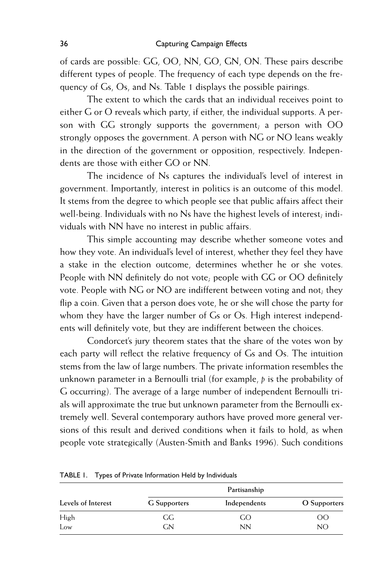of cards are possible: GG, OO, NN, GO, GN, ON. These pairs describe different types of people. The frequency of each type depends on the frequency of Gs, Os, and Ns. Table 1 displays the possible pairings.

The extent to which the cards that an individual receives point to either G or O reveals which party, if either, the individual supports. A person with GG strongly supports the government; a person with OO strongly opposes the government. A person with NG or NO leans weakly in the direction of the government or opposition, respectively. Independents are those with either GO or NN.

The incidence of Ns captures the individual's level of interest in government. Importantly, interest in politics is an outcome of this model. It stems from the degree to which people see that public affairs affect their well-being. Individuals with no Ns have the highest levels of interest; individuals with NN have no interest in public affairs.

This simple accounting may describe whether someone votes and how they vote. An individual's level of interest, whether they feel they have a stake in the election outcome, determines whether he or she votes. People with NN definitely do not vote; people with GG or OO definitely vote. People with NG or NO are indifferent between voting and not; they flip a coin. Given that a person does vote, he or she will chose the party for whom they have the larger number of Gs or Os. High interest independents will definitely vote, but they are indifferent between the choices.

Condorcet's jury theorem states that the share of the votes won by each party will reflect the relative frequency of Gs and Os. The intuition stems from the law of large numbers. The private information resembles the unknown parameter in a Bernoulli trial (for example, *p* is the probability of G occurring). The average of a large number of independent Bernoulli trials will approximate the true but unknown parameter from the Bernoulli extremely well. Several contemporary authors have proved more general versions of this result and derived conditions when it fails to hold, as when people vote strategically (Austen-Smith and Banks 1996). Such conditions

| Levels of Interest | Partisanship |              |              |
|--------------------|--------------|--------------|--------------|
|                    | G Supporters | Independents | O Supporters |
| High               | GG.          | GO.          | OΟ           |
| Low                | GΝ           | NΝ           | NO           |

TABLE 1. Types of Private Information Held by Individuals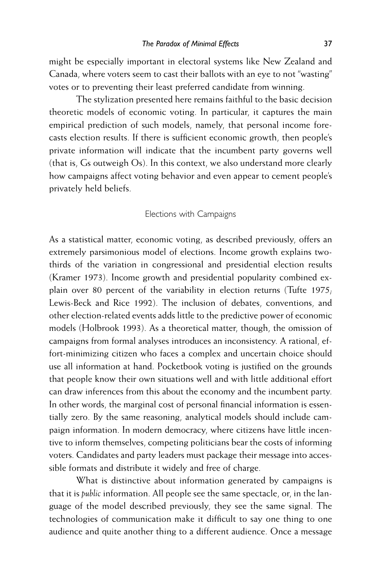might be especially important in electoral systems like New Zealand and Canada, where voters seem to cast their ballots with an eye to not "wasting" votes or to preventing their least preferred candidate from winning.

The stylization presented here remains faithful to the basic decision theoretic models of economic voting. In particular, it captures the main empirical prediction of such models, namely, that personal income forecasts election results. If there is sufficient economic growth, then people's private information will indicate that the incumbent party governs well (that is, Gs outweigh Os). In this context, we also understand more clearly how campaigns affect voting behavior and even appear to cement people's privately held beliefs.

### Elections with Campaigns

As a statistical matter, economic voting, as described previously, offers an extremely parsimonious model of elections. Income growth explains twothirds of the variation in congressional and presidential election results (Kramer 1973). Income growth and presidential popularity combined explain over 80 percent of the variability in election returns (Tufte 1975; Lewis-Beck and Rice 1992). The inclusion of debates, conventions, and other election-related events adds little to the predictive power of economic models (Holbrook 1993). As a theoretical matter, though, the omission of campaigns from formal analyses introduces an inconsistency. A rational, effort-minimizing citizen who faces a complex and uncertain choice should use all information at hand. Pocketbook voting is justified on the grounds that people know their own situations well and with little additional effort can draw inferences from this about the economy and the incumbent party. In other words, the marginal cost of personal financial information is essentially zero. By the same reasoning, analytical models should include campaign information. In modern democracy, where citizens have little incentive to inform themselves, competing politicians bear the costs of informing voters. Candidates and party leaders must package their message into accessible formats and distribute it widely and free of charge.

What is distinctive about information generated by campaigns is that it is *public* information. All people see the same spectacle, or, in the language of the model described previously, they see the same signal. The technologies of communication make it difficult to say one thing to one audience and quite another thing to a different audience. Once a message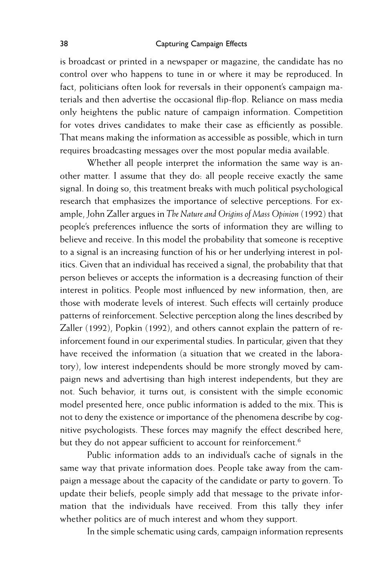#### 38 Capturing Campaign Effects

is broadcast or printed in a newspaper or magazine, the candidate has no control over who happens to tune in or where it may be reproduced. In fact, politicians often look for reversals in their opponent's campaign materials and then advertise the occasional flip-flop. Reliance on mass media only heightens the public nature of campaign information. Competition for votes drives candidates to make their case as efficiently as possible. That means making the information as accessible as possible, which in turn requires broadcasting messages over the most popular media available.

Whether all people interpret the information the same way is another matter. I assume that they do: all people receive exactly the same signal. In doing so, this treatment breaks with much political psychological research that emphasizes the importance of selective perceptions. For example, John Zaller argues in *The Nature and Origins of Mass Opinion* (1992) that people's preferences influence the sorts of information they are willing to believe and receive. In this model the probability that someone is receptive to a signal is an increasing function of his or her underlying interest in politics. Given that an individual has received a signal, the probability that that person believes or accepts the information is a decreasing function of their interest in politics. People most influenced by new information, then, are those with moderate levels of interest. Such effects will certainly produce patterns of reinforcement. Selective perception along the lines described by Zaller (1992), Popkin (1992), and others cannot explain the pattern of reinforcement found in our experimental studies. In particular, given that they have received the information (a situation that we created in the laboratory), low interest independents should be more strongly moved by campaign news and advertising than high interest independents, but they are not. Such behavior, it turns out, is consistent with the simple economic model presented here, once public information is added to the mix. This is not to deny the existence or importance of the phenomena describe by cognitive psychologists. These forces may magnify the effect described here, but they do not appear sufficient to account for reinforcement.<sup>6</sup>

Public information adds to an individual's cache of signals in the same way that private information does. People take away from the campaign a message about the capacity of the candidate or party to govern. To update their beliefs, people simply add that message to the private information that the individuals have received. From this tally they infer whether politics are of much interest and whom they support.

In the simple schematic using cards, campaign information represents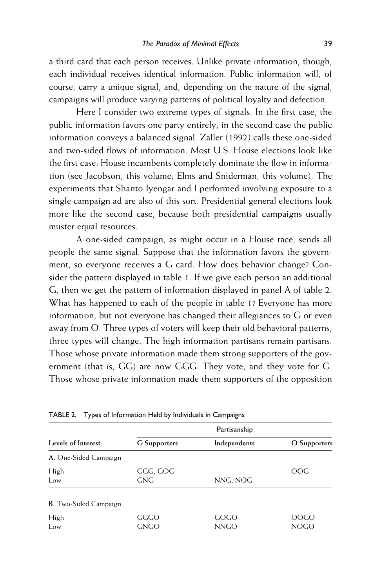a third card that each person receives. Unlike private information, though, each individual receives identical information. Public information will, of course, carry a unique signal, and, depending on the nature of the signal, campaigns will produce varying patterns of political loyalty and defection.

Here I consider two extreme types of signals. In the first case, the public information favors one party entirely; in the second case the public information conveys a balanced signal. Zaller (1992) calls these one-sided and two-sided flows of information. Most U.S. House elections look like the first case: House incumbents completely dominate the flow in information (see Jacobson, this volume; Elms and Sniderman, this volume). The experiments that Shanto Iyengar and I performed involving exposure to a single campaign ad are also of this sort. Presidential general elections look more like the second case, because both presidential campaigns usually muster equal resources.

A one-sided campaign, as might occur in a House race, sends all people the same signal. Suppose that the information favors the government, so everyone receives a G card. How does behavior change? Consider the pattern displayed in table 1. If we give each person an additional G, then we get the pattern of information displayed in panel A of table 2. What has happened to each of the people in table 1? Everyone has more information, but not everyone has changed their allegiances to G or even away from O. Three types of voters will keep their old behavioral patterns; three types will change. The high information partisans remain partisans. Those whose private information made them strong supporters of the government (that is, GG) are now GGG. They vote, and they vote for G. Those whose private information made them supporters of the opposition

| Levels of Interest    | Partisanship           |                     |                     |
|-----------------------|------------------------|---------------------|---------------------|
|                       | G Supporters           | Independents        | O Supporters        |
| A. One-Sided Campaign |                        |                     |                     |
| High<br>Low           | GGG, GOG<br><b>GNG</b> | NNG, NOG            | OOC <sub>r</sub>    |
| B. Two-Sided Campaign |                        |                     |                     |
| High<br>Low           | GGGO<br><b>GNGO</b>    | GOGO<br><b>NNGO</b> | OOGO<br><b>NOGO</b> |

TABLE 2. Types of Information Held by Individuals in Campaigns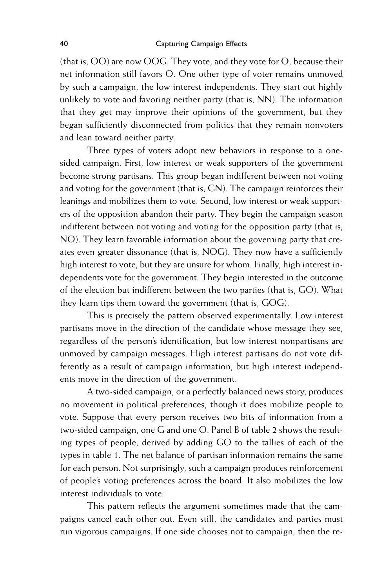(that is, OO) are now OOG. They vote, and they vote for O, because their net information still favors O. One other type of voter remains unmoved by such a campaign, the low interest independents. They start out highly unlikely to vote and favoring neither party (that is, NN). The information that they get may improve their opinions of the government, but they began sufficiently disconnected from politics that they remain nonvoters and lean toward neither party.

Three types of voters adopt new behaviors in response to a onesided campaign. First, low interest or weak supporters of the government become strong partisans. This group began indifferent between not voting and voting for the government (that is, GN). The campaign reinforces their leanings and mobilizes them to vote. Second, low interest or weak supporters of the opposition abandon their party. They begin the campaign season indifferent between not voting and voting for the opposition party (that is, NO). They learn favorable information about the governing party that creates even greater dissonance (that is,  $NOG$ ). They now have a sufficiently high interest to vote, but they are unsure for whom. Finally, high interest independents vote for the government. They begin interested in the outcome of the election but indifferent between the two parties (that is, GO). What they learn tips them toward the government (that is, GOG).

This is precisely the pattern observed experimentally. Low interest partisans move in the direction of the candidate whose message they see, regardless of the person's identification, but low interest nonpartisans are unmoved by campaign messages. High interest partisans do not vote differently as a result of campaign information, but high interest independents move in the direction of the government.

A two-sided campaign, or a perfectly balanced news story, produces no movement in political preferences, though it does mobilize people to vote. Suppose that every person receives two bits of information from a two-sided campaign, one G and one O. Panel B of table 2 shows the resulting types of people, derived by adding GO to the tallies of each of the types in table 1. The net balance of partisan information remains the same for each person. Not surprisingly, such a campaign produces reinforcement of people's voting preferences across the board. It also mobilizes the low interest individuals to vote.

This pattern reflects the argument sometimes made that the campaigns cancel each other out. Even still, the candidates and parties must run vigorous campaigns. If one side chooses not to campaign, then the re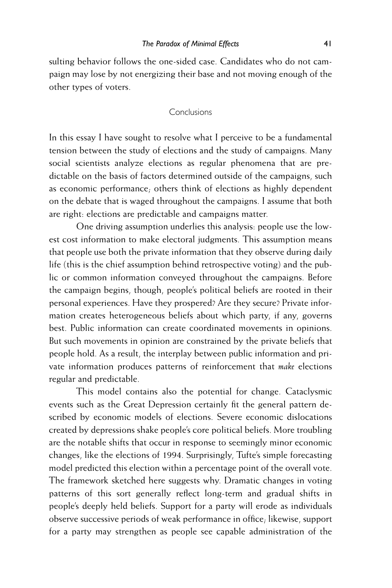sulting behavior follows the one-sided case. Candidates who do not campaign may lose by not energizing their base and not moving enough of the other types of voters.

#### Conclusions

In this essay I have sought to resolve what I perceive to be a fundamental tension between the study of elections and the study of campaigns. Many social scientists analyze elections as regular phenomena that are predictable on the basis of factors determined outside of the campaigns, such as economic performance; others think of elections as highly dependent on the debate that is waged throughout the campaigns. I assume that both are right: elections are predictable and campaigns matter.

One driving assumption underlies this analysis: people use the lowest cost information to make electoral judgments. This assumption means that people use both the private information that they observe during daily life (this is the chief assumption behind retrospective voting) and the public or common information conveyed throughout the campaigns. Before the campaign begins, though, people's political beliefs are rooted in their personal experiences. Have they prospered? Are they secure? Private information creates heterogeneous beliefs about which party, if any, governs best. Public information can create coordinated movements in opinions. But such movements in opinion are constrained by the private beliefs that people hold. As a result, the interplay between public information and private information produces patterns of reinforcement that *make* elections regular and predictable.

This model contains also the potential for change. Cataclysmic events such as the Great Depression certainly fit the general pattern described by economic models of elections. Severe economic dislocations created by depressions shake people's core political beliefs. More troubling are the notable shifts that occur in response to seemingly minor economic changes, like the elections of 1994. Surprisingly, Tufte's simple forecasting model predicted this election within a percentage point of the overall vote. The framework sketched here suggests why. Dramatic changes in voting patterns of this sort generally reflect long-term and gradual shifts in people's deeply held beliefs. Support for a party will erode as individuals observe successive periods of weak performance in office; likewise, support for a party may strengthen as people see capable administration of the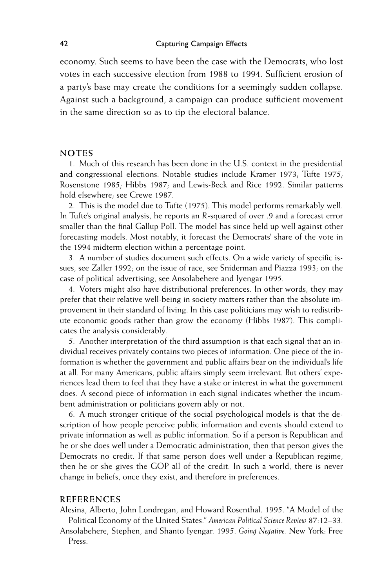economy. Such seems to have been the case with the Democrats, who lost votes in each successive election from 1988 to 1994. Sufficient erosion of a party's base may create the conditions for a seemingly sudden collapse. Against such a background, a campaign can produce sufficient movement in the same direction so as to tip the electoral balance.

#### **NOTES**

1. Much of this research has been done in the U.S. context in the presidential and congressional elections. Notable studies include Kramer 1973; Tufte 1975; Rosenstone 1985; Hibbs 1987; and Lewis-Beck and Rice 1992. Similar patterns hold elsewhere; see Crewe 1987.

2. This is the model due to Tufte (1975). This model performs remarkably well. In Tufte's original analysis, he reports an *R*-squared of over .9 and a forecast error smaller than the final Gallup Poll. The model has since held up well against other forecasting models. Most notably, it forecast the Democrats' share of the vote in the 1994 midterm election within a percentage point.

3. A number of studies document such effects. On a wide variety of specific issues, see Zaller 1992; on the issue of race, see Sniderman and Piazza 1993; on the case of political advertising, see Ansolabehere and Iyengar 1995.

4. Voters might also have distributional preferences. In other words, they may prefer that their relative well-being in society matters rather than the absolute improvement in their standard of living. In this case politicians may wish to redistribute economic goods rather than grow the economy (Hibbs 1987). This complicates the analysis considerably.

5. Another interpretation of the third assumption is that each signal that an individual receives privately contains two pieces of information. One piece of the information is whether the government and public affairs bear on the individual's life at all. For many Americans, public affairs simply seem irrelevant. But others' experiences lead them to feel that they have a stake or interest in what the government does. A second piece of information in each signal indicates whether the incumbent administration or politicians govern ably or not.

6. A much stronger critique of the social psychological models is that the description of how people perceive public information and events should extend to private information as well as public information. So if a person is Republican and he or she does well under a Democratic administration, then that person gives the Democrats no credit. If that same person does well under a Republican regime, then he or she gives the GOP all of the credit. In such a world, there is never change in beliefs, once they exist, and therefore in preferences.

#### **REFERENCES**

- Alesina, Alberto, John Londregan, and Howard Rosenthal. 1995. "A Model of the Political Economy of the United States." *American Political Science Review* 87:12–33.
- Ansolabehere, Stephen, and Shanto Iyengar. 1995. *Going Negative.* New York: Free Press.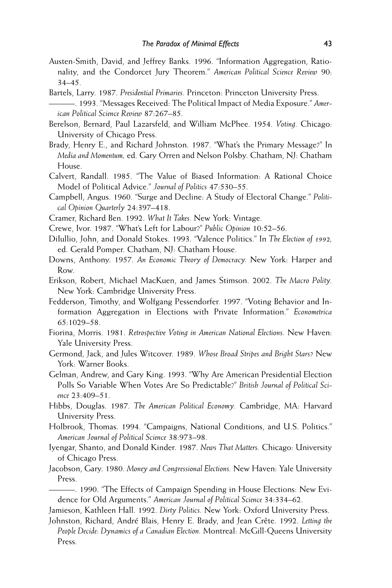- Austen-Smith, David, and Jeffrey Banks. 1996. "Information Aggregation, Rationality, and the Condorcet Jury Theorem." *American Political Science Review* 90: 34–45.
- Bartels, Larry. 1987. *Presidential Primaries.* Princeton: Princeton University Press.
- ———. 1993. "Messages Received: The Political Impact of Media Exposure." *American Political Science Review* 87:267–85.
- Berelson, Bernard, Paul Lazarsfeld, and William McPhee. 1954. *Voting.* Chicago: University of Chicago Press.
- Brady, Henry E., and Richard Johnston. 1987. "What's the Primary Message?" In *Media and Momentum,* ed. Gary Orren and Nelson Polsby. Chatham, NJ: Chatham House.
- Calvert, Randall. 1985. "The Value of Biased Information: A Rational Choice Model of Political Advice." *Journal of Politics* 47:530–55.
- Campbell, Angus. 1960. "Surge and Decline: A Study of Electoral Change." *Political Opinion Quarterly* 24:397–418.
- Cramer, Richard Ben. 1992. *What It Takes.* New York: Vintage.
- Crewe, Ivor. 1987. "What's Left for Labour?" *Public Opinion* 10:52–56.
- DiIullio, John, and Donald Stokes. 1993. "Valence Politics." In *The Election of 1992,* ed. Gerald Pomper. Chatham, NJ: Chatham House.
- Downs, Anthony. 1957. *An Economic Theory of Democracy.* New York: Harper and Row.
- Erikson, Robert, Michael MacKuen, and James Stimson. 2002. *The Macro Polity.* New York: Cambridge University Press.
- Fedderson, Timothy, and Wolfgang Pessendorfer. 1997. "Voting Behavior and Information Aggregation in Elections with Private Information." *Econometrica* 65:1029–58.
- Fiorina, Morris. 1981. *Retrospective Voting in American National Elections.* New Haven: Yale University Press.
- Germond, Jack, and Jules Witcover. 1989. *Whose Broad Stripes and Bright Stars?* New York: Warner Books.
- Gelman, Andrew, and Gary King. 1993. "Why Are American Presidential Election Polls So Variable When Votes Are So Predictable?" *British Journal of Political Science* 23:409–51.
- Hibbs, Douglas. 1987. *The American Political Economy.* Cambridge, MA: Harvard University Press.
- Holbrook, Thomas. 1994. "Campaigns, National Conditions, and U.S. Politics." *American Journal of Political Science* 38:973–98.
- Iyengar, Shanto, and Donald Kinder. 1987. *News That Matters.* Chicago: University of Chicago Press.
- Jacobson, Gary. 1980. *Money and Congressional Elections.* New Haven: Yale University Press.
- ———. 1990. "The Effects of Campaign Spending in House Elections: New Evidence for Old Arguments." *American Journal of Political Science* 34:334–62.
- Jamieson, Kathleen Hall. 1992. *Dirty Politics.* New York: Oxford University Press.
- Johnston, Richard, André Blais, Henry E. Brady, and Jean Crête. 1992. *Letting the People Decide: Dynamics of a Canadian Election.* Montreal: McGill-Queens University Press.